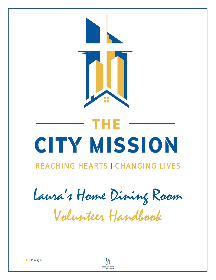

## тне CITY MISSION

## **REACHING HEARTS I CHANGING LIVES**

Laura's Home Dining Room

Volunteer Handbook

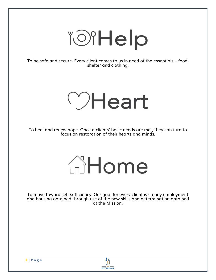# TOIHelp

To be safe and secure. Every client comes to us in need of the essentials – food, shelter and clothing.

## OHeart

To heal and renew hope. Once a clients' basic needs are met, they can turn to focus on restoration of their hearts and minds.

# **AHome**

To move toward self-sufficiency. Our goal for every client is steady employment and housing obtained through use of the new skills and determination obtained at the Mission.

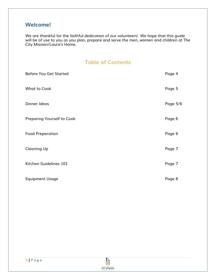## **Welcome!**

We are thankful for the faithful dedication of our volunteers! We hope that this guide will be of use to you as you plan, prepare and serve the men, women and children at The City Mission/Laura's Home.

## **Table of Contents**

| <b>Before You Get Started</b>     | Page 4   |
|-----------------------------------|----------|
| <b>What to Cook</b>               | Page 5   |
| Dinner Ideas                      | Page 5/6 |
| <b>Preparing Yourself to Cook</b> | Page 6   |
| <b>Food Preparation</b>           | Page 6   |
| <b>Cleaning Up</b>                | Page 7   |
| Kitchen Guidelines 101            | Page 7   |
| <b>Equipment Usage</b>            | Page 8   |

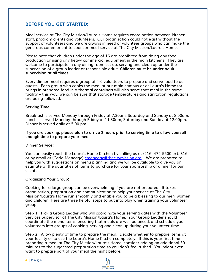## **BEFORE YOU GET STARTED:**

Meal service at The City Mission/Laura's Home requires coordination between kitchen staff, program clients and volunteers. Our organization could not exist without the support of volunteers and we are always in need of volunteer groups who can make the generous commitment to sponsor meal service at The City Mission/Laura's Home.

Please note that children under the age of 16 are prohibited from doing any food production or using any heavy commercial equipment in the main kitchens. They are welcome to participate in any dining room set up, serving and clean up under the supervision of a group leader or responsible adult. **Children must be under adult supervision at all times.**

Every dinner meal requires a group of 4-6 volunteers to prepare and serve food to our guests. Each group who cooks the meal at our main campus or at Laura's Home (or brings in prepared food in a thermal container) will also serve that meal in the same facility – this way, we can be sure that storage temperatures and sanitation regulations are being followed.

#### **Serving Time:**

Breakfast is served Monday through Friday at 7:30am, Saturday and Sunday at 8:00am. Lunch is served Monday through Friday at 11:30am, Saturday and Sunday at 12:00pm. Dinner is served daily at 5:00 pm.

**If you are cooking, please plan to arrive 2 hours prior to serving time to allow yourself enough time to prepare your meal.** 

#### **Dinner Service:**

You can easily reach the Laura's Home Kitchen by calling us at (216) 472-5500 ext. 316 or by email at (Carla Maneage) [cmaneage@thecitymission.org](mailto:cmaneage@thecitymission.org) . We are prepared to help you with suggestions on menu planning and we will be available to give you an estimate of the quantities of items to purchase for your sponsorship of dinner for our clients.

### **Organizing Your Group:**

Cooking for a large group can be overwhelming if you are not prepared. It takes organization, preparation and communication to help your service at The City Mission/Laura's Home run smoothly and enable you to be a blessing to our men, women and children. Here are three helpful steps to put into play when training your volunteer group:

**Step 1:** Pick a Group Leader who will coordinate your serving dates with the Volunteer Services Supervisor at The City Mission/Laura's Home. Your Group Leader should coordinate the menu items, ensuring that meals are well balanced, and schedule your volunteers into groups of cooking, serving and clean up during your volunteer time.

**Step 2:** Allow plenty of time to prepare the meal. Decide whether to prepare items at your facility or to use the Laura's Home Kitchen completely. If this is your first time preparing a meal at The City Mission/Laura's Home, consider adding an additional 30 minutes to the suggested preparation time so you don't feel rushed. You might even want to prepare part of your meal the night before.

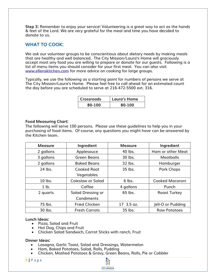**Step 3:** Remember to enjoy your service! Volunteering is a great way to act as the hands & feet of the Lord. We are very grateful for the meal and time you have decided to donate to us.

### **WHAT TO COOK:**

We ask our volunteer groups to be conscientious about dietary needs by making meals that are healthy and well balanced. The City Mission/Laura's Home will graciously accept most any food you are willing to prepare or donate for our guests. Following is a list of menu items you should consider for your first meal. You can also visit [www.ellenskitchen.com](http://www.ellenskitchen.com/) for more advice on cooking for large groups.

Typically, we use the following as a starting point for numbers of persons we serve at The City Mission/Laura's Home. Please feel free to call ahead for an estimated count the day before you are scheduled to serve at 216-472-5500 ext. 316.

| Crossroads | Laura's Home |
|------------|--------------|
| 80-100     | 80-100       |

#### **Food Measuring Chart:**

The following will serve 100 persons. Please use these guidelines to help you in your purchasing of food items. Of course, any questions you might have can be answered by the Kitchen team.

| <b>Measure</b> | Ingredient               | <b>Measure</b> | Ingredient          |
|----------------|--------------------------|----------------|---------------------|
| 2 gallons      | Applesauce               | 40 lbs.        | Ham or other Meat   |
| 3 gallons      | <b>Green Beans</b>       | 30 lbs.        | <b>Meatballs</b>    |
| 2 gallons      | <b>Baked Beans</b>       | 32 lbs.        | Hamburger           |
| 24 lbs.        | <b>Cooked Root</b>       | 35 lbs.        | <b>Pork Chops</b>   |
|                | Vegetables               |                |                     |
| 10 lbs.        | <b>Coleslaw or Salad</b> | 6 lbs.         | Cooked Macaroni     |
| $1$ lb.        | Coffee                   | 4 gallons      | Punch               |
| 2 quarts       | Salad Dressing or        | 65 lbs.        | <b>Roast Turkey</b> |
|                | Condiments               |                |                     |
| 75 lbs.        | <b>Fried Chicken</b>     | 17 3.5 oz.     | Jell-O or Pudding   |
| 30 lbs.        | <b>Fresh Carrots</b>     | 35 lbs.        | <b>Raw Potatoes</b> |

#### **Lunch Ideas:**

- Pizza, Salad and Fruit
- Hot Dog, Chips and Fruit
- Chicken Salad Sandwich, Carrot Sticks with ranch, Fruit

#### **Dinner Ideas:**

- Lasagna, Garlic Toast, Salad and Dressings, Watermelon
- Ham, Baked Potatoes, Salad, Rolls, Pudding
- Chicken, Mashed Potatoes & Gravy, Green Beans, Rolls, Pie or Cobbler

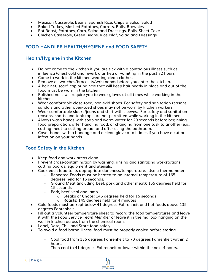- Mexican Casserole, Beans, Spanish Rice, Chips & Salsa, Salad
- Baked Turkey, Mashed Potatoes, Carrots, Rolls, Brownies
- Pot Roast, Potatoes, Corn, Salad and Dressings, Rolls, Sheet Cake
- Chicken Casserole, Green Beans, Rice Pilaf, Salad and Dressings

## **FOOD HANDLER HEALTH/HYGIENE and FOOD SAFETY**

## **Health/Hygiene in the Kitchen**

- Do not come to the kitchen if you are sick with a contagious illness such as influenza (chest cold and fever), diarrhea or vomiting in the past 72 hours.
- Come to work in the kitchen wearing clean clothes.
- Remove all watches/bracelets/wristbands before you enter the kitchen.
- A hair net, scarf, cap or hair-tie that will keep hair neatly in place and out of the food must be worn in the kitchen.
- Polished nails will require you to wear gloves at all times while working in the kitchen.
- Wear comfortable close-toed, non-skid shoes. For safety and sanitation reasons, sandals and other open-toed shoes may not be worn by kitchen workers.
- Wear comfortable slacks/jeans and shirt with sleeves. For safety and sanitation reasons, shorts and tank tops are not permitted while working in the kitchen.
- Always wash hands with soap and warm water for 20 seconds before beginning food preparation, after handling food, or changing from one task to another (e.g., cutting meat to cutting bread) and after using the bathroom.
- Cover hands with a bandage and a clean glove at all times if you have a cut or infection on your hands.

## **Food Safety in the Kitchen**

- Keep food and work areas clean.
- Prevent cross-contamination by washing, rinsing and sanitizing workstations, cutting boards, equipment and utensils.
- Cook each food to its appropriate doneness/temperature. Use a thermometer.
	- Reheated Foods must be heated to an internal temperature of 165 degrees held for 15 seconds.
	- Ground Meat (including beef, pork and other meat): 155 degrees held for 15 seconds
	- Pork, beef, yeal and lamb
		- o Steaks or Chops: 145 degrees held for 15 seconds
		- o Roasts: 145 degrees held for 4 minutes
- Cold foods must be kept below 41 degrees Fahrenheit and hot foods above 135 degrees Fahrenheit.
- Fill out a Volunteer temperature sheet to record the food temperatures and leave it with the *Food Service Team Member* or leave it in the mailbox hanging on the wall in kitchen across from the chemical room.
- Label, Date, Chill and Store food safely
- To avoid a food borne illness, food must be properly cooled before storing.
	- Cool food from 135 degrees Fahrenheit to 70 degrees Fahrenheit within 2 hours.
	- Then cool to 41 degrees Fahrenheit or lower within the next 4 hours.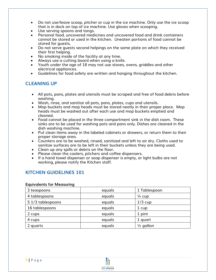- Do not use/leave scoop, pitcher or cup in the ice machine. Only use the ice scoop that is in dock on top of ice machine. Use gloves when scooping.
- Use serving spoons and tongs.
- Personal food, uncovered medicines and uncovered food and drink containers cannot be stored or used in the kitchen. Uneaten portions of food cannot be stored for guests.
- Do not serve guests second helpings on the same plate on which they received their first helping.
- No smoking inside of the facility at any time.
- Always use a cutting board when using a knife.
- Youth under the age of 18 may not use stoves, ovens, griddles and other electrical appliances.
- Guidelines for food safety are written and hanging throughout the kitchen.

## **CLEANING UP**

- All pots, pans, plates and utensils must be scraped and free of food debris before washing.
- Wash, rinse, and sanitize all pots, pans, plates, cups and utensils.
- Mop buckets and mop heads must be stored neatly in their proper place. Mop heads must be washed out after each use and mop buckets emptied and cleaned.
- Food cannot be placed in the three compartment sink in the dish room. These sinks are to be used for washing pots and pans only. Dishes are cleaned in the dish washing machine.
- Put clean items away in the labeled cabinets or drawers, or return them to their proper storage area.
- Counters are to be washed, rinsed, sanitized and left to air dry. Cloths used to sanitize surfaces are to be left in their buckets unless they are being used.
- Clean up any spills or debris on the floor.
- Please clean the coolers, pitchers and coffee dispensers.
- If a hand towel dispenser or soap dispenser is empty, or light bulbs are not working, please notify the Kitchen staff.

## **KITCHEN GUIDELINES 101**

#### **Equivalents for Measuring**

| 3 teaspoons       | equals | 1 Tablespoon         |
|-------------------|--------|----------------------|
| 4 tablespoons     | equals | $\frac{1}{4}$ cup    |
| 5 1/3 tablespoons | equals | $1/3$ cup            |
| 16 tablespoons    | equals | 1 cup                |
| 2 cups            | equals | 1 pint               |
| 4 cups            | equals | 1 quart              |
| 2 quarts          | equals | $\frac{1}{2}$ gallon |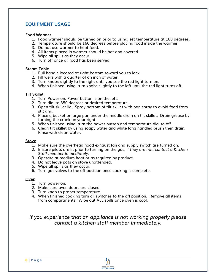## **EQUIPMENT USAGE**

#### **Food Warmer**

- 1. Food warmer should be turned on prior to using, set temperature at 180 degrees.
- 2. Temperature should be 160 degrees before placing food inside the warmer.
- 3. Do not use warmer to heat food.
- 4. All items placed in warmer should be hot and covered.
- 5. Wipe all spills as they occur.
- 6. Turn off once all food has been served.

#### **Steam Table**

- 1. Pull handle located at right bottom toward you to lock.
- 2. Fill wells with a quarter of an inch of water.
- 3. Turn knobs slightly to the right until you see the red light turn on.
- 4. When finished using, turn knobs slightly to the left until the red light turns off.

#### **Tilt Skillet**

- 1. Turn Power on. Power button is on the left.
- 2. Turn dial to 350 degrees or desired temperature.
- 3. Open tilt skillet lid. Spray bottom of tilt skillet with pan spray to avoid food from sticking.
- 4. Place a bucket or large pan under the middle drain on tilt skillet. Drain grease by turning the crank on your right.
- 5. When finished using, turn the power button and temperature dial to off.
- 6. Clean tilt skillet by using soapy water and white long handled brush then drain. Rinse with clean water.

#### **Stove**

- 1. Make sure the overhead hood exhaust fan and supply switch are turned on.
- 2. Ensure pilots are lit prior to turning on the gas, *if they are not; contact a Kitchen Staff member immediately.*
- 3. Operate at medium heat or as required by product.
- 4. Do not leave pots on stove unattended.
- 5. Wipe all spills as they occur.
- 6. Turn gas valves to the off position once cooking is complete.

### **Oven**

- 1. Turn power on.
- 2. Make sure oven doors are closed.
- 3. Turn knob to proper temperature.
- 4. When finished cooking turn all switches to the off position. Remove all items from compartments. Wipe out ALL spills once oven is cool.

*If you experience that an appliance is not working properly please contact a kitchen staff member immediately.*